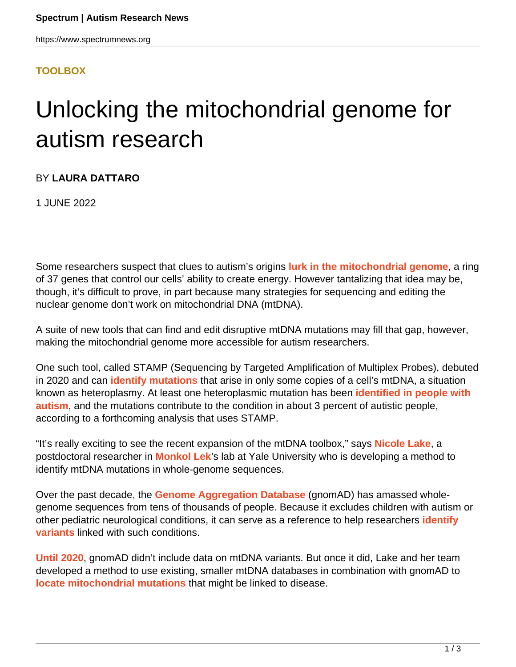## **[TOOLBOX](HTTPS://WWW.SPECTRUMNEWS.ORG/NEWS/TOOLBOX/)**

## Unlocking the mitochondrial genome for autism research

## BY **LAURA DATTARO**

1 JUNE 2022

Some researchers suspect that clues to autism's origins **[lurk in the mitochondrial genome](https://www.spectrumnews.org/features/deep-dive/meet-the-mitomaniacs-who-say-mitochondria-matter-in-autism/)**, a ring of 37 genes that control our cells' ability to create energy. However tantalizing that idea may be, though, it's difficult to prove, in part because many strategies for sequencing and editing the nuclear genome don't work on mitochondrial DNA (mtDNA).

A suite of new tools that can find and edit disruptive mtDNA mutations may fill that gap, however, making the mitochondrial genome more accessible for autism researchers.

One such tool, called STAMP (Sequencing by Targeted Amplification of Multiplex Probes), debuted in 2020 and can **[identify mutations](https://dx.doi.org/10.1093%2Fnargab%2Flqaa065)** that arise in only some copies of a cell's mtDNA, a situation known as heteroplasmy. At least one heteroplasmic mutation has been **[identified in people with](https://doi.org/10.1016/j.jpeds.2003.10.023) [autism](https://doi.org/10.1016/j.jpeds.2003.10.023)**, and the mutations contribute to the condition in about 3 percent of autistic people, according to a forthcoming analysis that uses STAMP.

"It's really exciting to see the recent expansion of the mtDNA toolbox," says **[Nicole Lake](https://medicine.yale.edu/profile/nicole_lake/)**, a postdoctoral researcher in **[Monkol Lek](https://medicine.yale.edu/profile/monkol_lek/)**'s lab at Yale University who is developing a method to identify mtDNA mutations in whole-genome sequences.

Over the past decade, the **[Genome Aggregation Database](https://gnomad.broadinstitute.org/)** (gnomAD) has amassed wholegenome sequences from tens of thousands of people. Because it excludes children with autism or other pediatric neurological conditions, it can serve as a reference to help researchers **[identify](https://www.spectrumnews.org/news/toolbox/massive-genomic-database-helps-decode-mutations-effects/) [variants](https://www.spectrumnews.org/news/toolbox/massive-genomic-database-helps-decode-mutations-effects/)** linked with such conditions.

**[Until 2020](https://gnomad.broadinstitute.org/news/2020-11-gnomad-v3-1-mitochondrial-dna-variants/)**, gnomAD didn't include data on mtDNA variants. But once it did, Lake and her team developed a method to use existing, smaller mtDNA databases in combination with gnomAD to **[locate mitochondrial mutations](https://genome.cshlp.org/content/early/2022/01/24/gr.276013.121.abstract)** that might be linked to disease.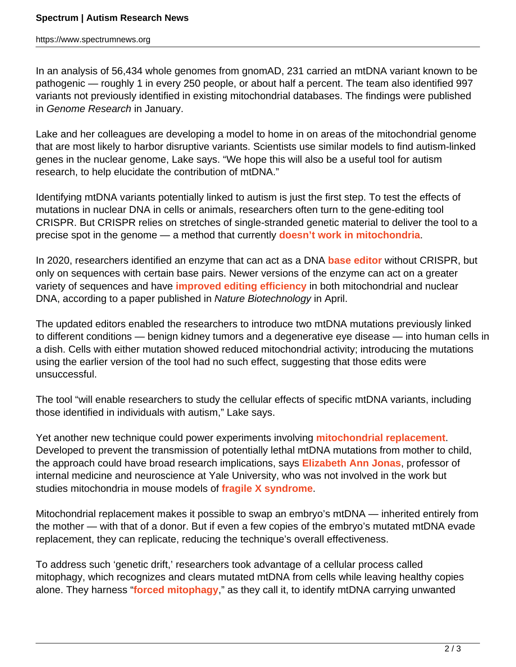In an analysis of 56,434 whole genomes from gnomAD, 231 carried an mtDNA variant known to be pathogenic — roughly 1 in every 250 people, or about half a percent. The team also identified 997 variants not previously identified in existing mitochondrial databases. The findings were published in Genome Research in January.

Lake and her colleagues are developing a model to home in on areas of the mitochondrial genome that are most likely to harbor disruptive variants. Scientists use similar models to find autism-linked genes in the nuclear genome, Lake says. "We hope this will also be a useful tool for autism research, to help elucidate the contribution of mtDNA."

Identifying mtDNA variants potentially linked to autism is just the first step. To test the effects of mutations in nuclear DNA in cells or animals, researchers often turn to the gene-editing tool CRISPR. But CRISPR relies on stretches of single-stranded genetic material to deliver the tool to a precise spot in the genome — a method that currently **[doesn't work in mitochondria](https://doi.org/10.1016/j.tig.2017.11.001)**.

In 2020, researchers identified an enzyme that can act as a DNA **[base editor](https://doi.org/10.1038/s41586-020-2477-4)** without CRISPR, but only on sequences with certain base pairs. Newer versions of the enzyme can act on a greater variety of sequences and have **[improved editing efficiency](https://doi.org/10.1038/s41587-022-01256-8)** in both mitochondrial and nuclear DNA, according to a paper published in Nature Biotechnology in April.

The updated editors enabled the researchers to introduce two mtDNA mutations previously linked to different conditions — benign kidney tumors and a degenerative eye disease — into human cells in a dish. Cells with either mutation showed reduced mitochondrial activity; introducing the mutations using the earlier version of the tool had no such effect, suggesting that those edits were unsuccessful.

The tool "will enable researchers to study the cellular effects of specific mtDNA variants, including those identified in individuals with autism," Lake says.

Yet another new technique could power experiments involving **[mitochondrial replacement](https://doi.org/10.1016%2Fj.heliyon.2020.e04643)**. Developed to prevent the transmission of potentially lethal mtDNA mutations from mother to child, the approach could have broad research implications, says **[Elizabeth Ann Jonas](https://medicine.yale.edu/profile/elizabeth_jonas/)**, professor of internal medicine and neuroscience at Yale University, who was not involved in the work but studies mitochondria in mouse models of **[fragile X syndrome](https://www.spectrumnews.org/news/fragile-x-syndromes-link-autism-explained/)**.

Mitochondrial replacement makes it possible to swap an embryo's mtDNA — inherited entirely from the mother — with that of a donor. But if even a few copies of the embryo's mutated mtDNA evade replacement, they can replicate, reducing the technique's overall effectiveness.

To address such 'genetic drift,' researchers took advantage of a cellular process called mitophagy, which recognizes and clears mutated mtDNA from cells while leaving healthy copies alone. They harness "**[forced mitophagy](https://doi.org/10.1038/s41551-022-00881-7)**," as they call it, to identify mtDNA carrying unwanted